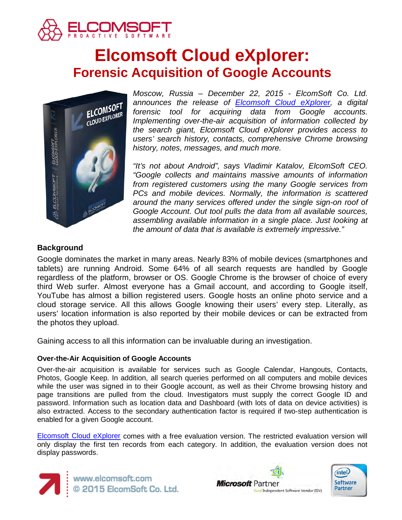

# **Elcomsoft Cloud eXplorer: Forensic Acquisition of Google Accounts**



*Moscow, Russia – December 22, 2015 - ElcomSoft Co. Ltd. announces the release of [Elcomsoft Cloud eXplorer,](https://www.elcomsoft.com/ecx.html) a digital forensic tool for acquiring data from Google accounts. Implementing over-the-air acquisition of information collected by the search giant, Elcomsoft Cloud eXplorer provides access to users' search history, contacts, comprehensive Chrome browsing history, notes, messages, and much more.*

*"It's not about Android", says Vladimir Katalov, ElcomSoft CEO. "Google collects and maintains massive amounts of information from registered customers using the many Google services from PCs and mobile devices. Normally, the information is scattered around the many services offered under the single sign-on roof of Google Account. Out tool pulls the data from all available sources, assembling available information in a single place. Just looking at the amount of data that is available is extremely impressive."*

### **Background**

Google dominates the market in many areas. Nearly 83% of mobile devices (smartphones and tablets) are running Android. Some 64% of all search requests are handled by Google regardless of the platform, browser or OS. Google Chrome is the browser of choice of every third Web surfer. Almost everyone has a Gmail account, and according to Google itself, YouTube has almost a billion registered users. Google hosts an online photo service and a cloud storage service. All this allows Google knowing their users' every step. Literally, as users' location information is also reported by their mobile devices or can be extracted from the photos they upload.

Gaining access to all this information can be invaluable during an investigation.

#### **Over-the-Air Acquisition of Google Accounts**

Over-the-air acquisition is available for services such as Google Calendar, Hangouts, Contacts, Photos, Google Keep. In addition, all search queries performed on all computers and mobile devices while the user was signed in to their Google account, as well as their Chrome browsing history and page transitions are pulled from the cloud. Investigators must supply the correct Google ID and password. Information such as location data and Dashboard (with lots of data on device activities) is also extracted. Access to the secondary authentication factor is required if two-step authentication is enabled for a given Google account.

[Elcomsoft Cloud eXplorer](https://www.elcomsoft.com/ecx.html) comes with a free evaluation version. The restricted evaluation version will only display the first ten records from each category. In addition, the evaluation version does not display passwords.